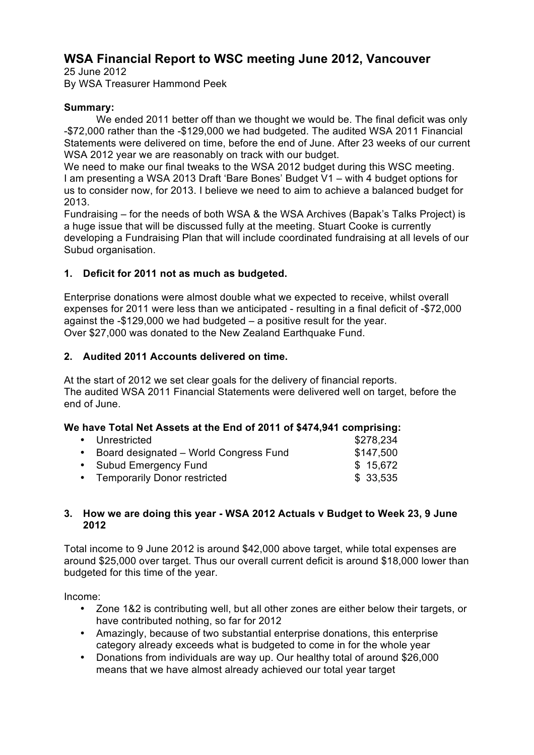# **WSA Financial Report to WSC meeting June 2012, Vancouver**

25 June 2012 By WSA Treasurer Hammond Peek

## **Summary:**

We ended 2011 better off than we thought we would be. The final deficit was only -\$72,000 rather than the -\$129,000 we had budgeted. The audited WSA 2011 Financial Statements were delivered on time, before the end of June. After 23 weeks of our current WSA 2012 year we are reasonably on track with our budget.

We need to make our final tweaks to the WSA 2012 budget during this WSC meeting. I am presenting a WSA 2013 Draft 'Bare Bones' Budget V1 – with 4 budget options for us to consider now, for 2013. I believe we need to aim to achieve a balanced budget for 2013.

Fundraising – for the needs of both WSA & the WSA Archives (Bapak's Talks Project) is a huge issue that will be discussed fully at the meeting. Stuart Cooke is currently developing a Fundraising Plan that will include coordinated fundraising at all levels of our Subud organisation.

# **1. Deficit for 2011 not as much as budgeted.**

Enterprise donations were almost double what we expected to receive, whilst overall expenses for 2011 were less than we anticipated - resulting in a final deficit of -\$72,000 against the -\$129,000 we had budgeted – a positive result for the year. Over \$27,000 was donated to the New Zealand Earthquake Fund.

## **2. Audited 2011 Accounts delivered on time.**

At the start of 2012 we set clear goals for the delivery of financial reports. The audited WSA 2011 Financial Statements were delivered well on target, before the end of June.

## **We have Total Net Assets at the End of 2011 of \$474,941 comprising:**

| • Unrestricted                           | \$278,234 |
|------------------------------------------|-----------|
| • Board designated - World Congress Fund | \$147,500 |
| • Subud Emergency Fund                   | \$15,672  |
| • Temporarily Donor restricted           | \$33,535  |

#### **3. How we are doing this year - WSA 2012 Actuals v Budget to Week 23, 9 June 2012**

Total income to 9 June 2012 is around \$42,000 above target, while total expenses are around \$25,000 over target. Thus our overall current deficit is around \$18,000 lower than budgeted for this time of the year.

Income:

- Zone 1&2 is contributing well, but all other zones are either below their targets, or have contributed nothing, so far for 2012
- Amazingly, because of two substantial enterprise donations, this enterprise category already exceeds what is budgeted to come in for the whole year
- Donations from individuals are way up. Our healthy total of around \$26,000 means that we have almost already achieved our total year target